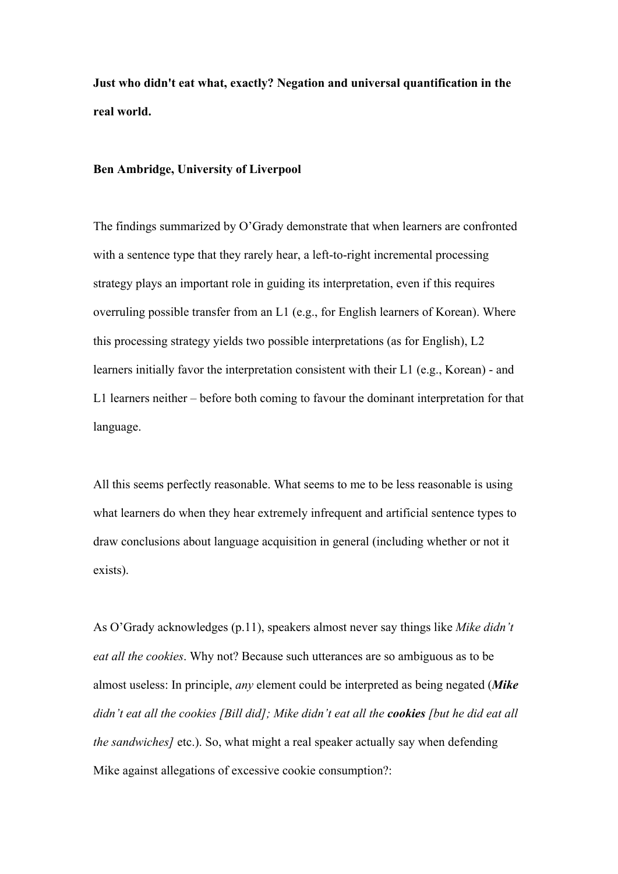**Just who didn't eat what, exactly? Negation and universal quantification in the real world.**

## **Ben Ambridge, University of Liverpool**

The findings summarized by O'Grady demonstrate that when learners are confronted with a sentence type that they rarely hear, a left-to-right incremental processing strategy plays an important role in guiding its interpretation, even if this requires overruling possible transfer from an L1 (e.g., for English learners of Korean). Where this processing strategy yields two possible interpretations (as for English), L2 learners initially favor the interpretation consistent with their L1 (e.g., Korean) - and L1 learners neither – before both coming to favour the dominant interpretation for that language.

All this seems perfectly reasonable. What seems to me to be less reasonable is using what learners do when they hear extremely infrequent and artificial sentence types to draw conclusions about language acquisition in general (including whether or not it exists).

As O'Grady acknowledges (p.11), speakers almost never say things like *Mike didn't eat all the cookies*. Why not? Because such utterances are so ambiguous as to be almost useless: In principle, *any* element could be interpreted as being negated (*Mike didn't eat all the cookies [Bill did]; Mike didn't eat all the cookies [but he did eat all the sandwiches]* etc.). So, what might a real speaker actually say when defending Mike against allegations of excessive cookie consumption?: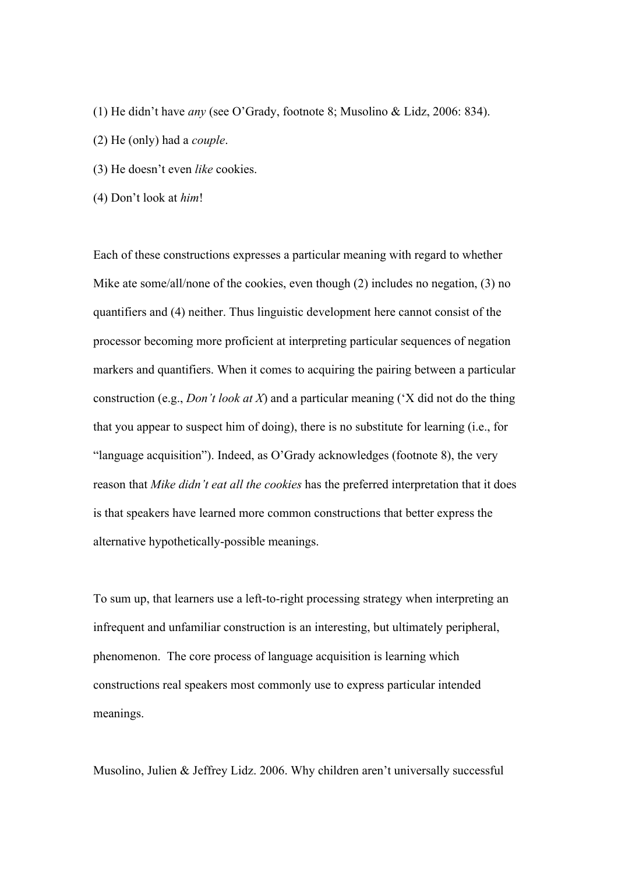- (1) He didn't have *any* (see O'Grady, footnote 8; Musolino & Lidz, 2006: 834).
- (2) He (only) had a *couple*.
- (3) He doesn't even *like* cookies.
- (4) Don't look at *him*!

Each of these constructions expresses a particular meaning with regard to whether Mike ate some/all/none of the cookies, even though (2) includes no negation, (3) no quantifiers and (4) neither. Thus linguistic development here cannot consist of the processor becoming more proficient at interpreting particular sequences of negation markers and quantifiers. When it comes to acquiring the pairing between a particular construction (e.g., *Don't look at X*) and a particular meaning ('X did not do the thing that you appear to suspect him of doing), there is no substitute for learning (i.e., for "language acquisition"). Indeed, as O'Grady acknowledges (footnote 8), the very reason that *Mike didn't eat all the cookies* has the preferred interpretation that it does is that speakers have learned more common constructions that better express the alternative hypothetically-possible meanings.

To sum up, that learners use a left-to-right processing strategy when interpreting an infrequent and unfamiliar construction is an interesting, but ultimately peripheral, phenomenon. The core process of language acquisition is learning which constructions real speakers most commonly use to express particular intended meanings.

Musolino, Julien & Jeffrey Lidz. 2006. Why children aren't universally successful